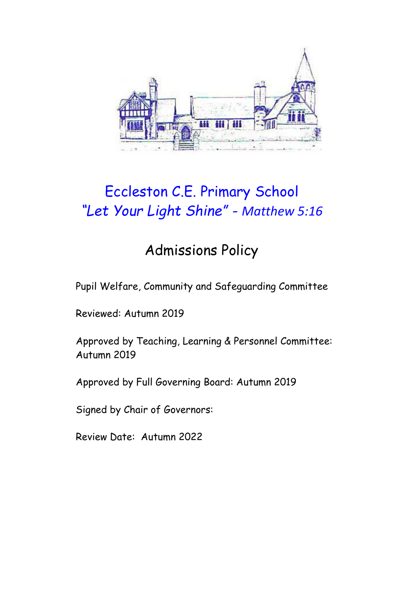

# Eccleston C.E. Primary School *"Let Your Light Shine" - Matthew 5:16*

## Admissions Policy

Pupil Welfare, Community and Safeguarding Committee

Reviewed: Autumn 2019

Approved by Teaching, Learning & Personnel Committee: Autumn 2019

Approved by Full Governing Board: Autumn 2019

Signed by Chair of Governors:

Review Date: Autumn 2022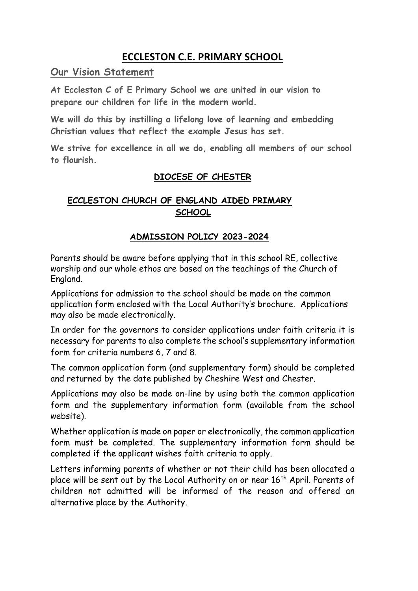### **ECCLESTON C.E. PRIMARY SCHOOL**

**Our Vision Statement**

**At Eccleston C of E Primary School we are united in our vision to prepare our children for life in the modern world.**

**We will do this by instilling a lifelong love of learning and embedding Christian values that reflect the example Jesus has set.**

**We strive for excellence in all we do, enabling all members of our school to flourish.**

#### **DIOCESE OF CHESTER**

#### **ECCLESTON CHURCH OF ENGLAND AIDED PRIMARY SCHOOL**

#### **ADMISSION POLICY 2023-2024**

Parents should be aware before applying that in this school RE, collective worship and our whole ethos are based on the teachings of the Church of England.

Applications for admission to the school should be made on the common application form enclosed with the Local Authority's brochure. Applications may also be made electronically.

In order for the governors to consider applications under faith criteria it is necessary for parents to also complete the school's supplementary information form for criteria numbers 6, 7 and 8.

The common application form (and supplementary form) should be completed and returned by the date published by Cheshire West and Chester.

Applications may also be made on-line by using both the common application form and the supplementary information form (available from the school website).

Whether application is made on paper or electronically, the common application form must be completed. The supplementary information form should be completed if the applicant wishes faith criteria to apply.

Letters informing parents of whether or not their child has been allocated a place will be sent out by the Local Authority on or near 16<sup>th</sup> April. Parents of children not admitted will be informed of the reason and offered an alternative place by the Authority.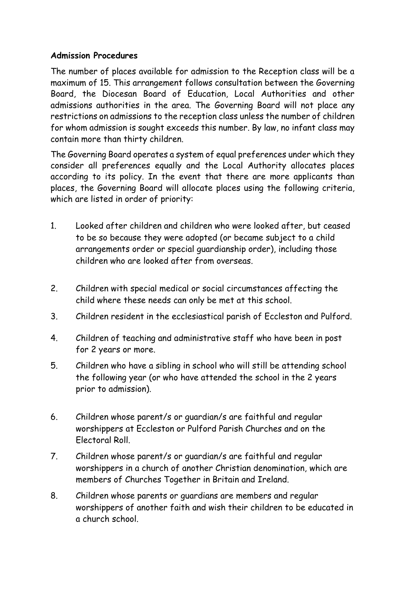#### **Admission Procedures**

The number of places available for admission to the Reception class will be a maximum of 15. This arrangement follows consultation between the Governing Board, the Diocesan Board of Education, Local Authorities and other admissions authorities in the area. The Governing Board will not place any restrictions on admissions to the reception class unless the number of children for whom admission is sought exceeds this number. By law, no infant class may contain more than thirty children.

The Governing Board operates a system of equal preferences under which they consider all preferences equally and the Local Authority allocates places according to its policy. In the event that there are more applicants than places, the Governing Board will allocate places using the following criteria, which are listed in order of priority:

- 1. Looked after children and children who were looked after, but ceased to be so because they were adopted (or became subject to a child arrangements order or special guardianship order), including those children who are looked after from overseas.
- 2. Children with special medical or social circumstances affecting the child where these needs can only be met at this school.
- 3. Children resident in the ecclesiastical parish of Eccleston and Pulford.
- 4. Children of teaching and administrative staff who have been in post for 2 years or more.
- 5. Children who have a sibling in school who will still be attending school the following year (or who have attended the school in the 2 years prior to admission).
- 6. Children whose parent/s or guardian/s are faithful and regular worshippers at Eccleston or Pulford Parish Churches and on the Electoral Roll.
- 7. Children whose parent/s or guardian/s are faithful and regular worshippers in a church of another Christian denomination, which are members of Churches Together in Britain and Ireland.
- 8. Children whose parents or guardians are members and regular worshippers of another faith and wish their children to be educated in a church school.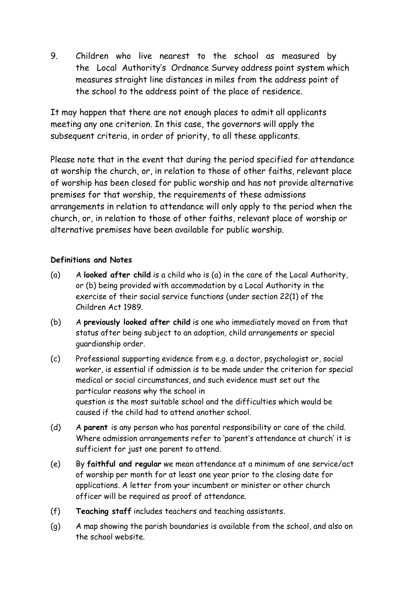9. Children who live nearest to the school as measured by the Local Authority's Ordnance Survey address point system which measures straight line distances in miles from the address point of the school to the address point of the place of residence.

It may happen that there are not enough places to admit all applicants meeting any one criterion. In this case, the governors will apply the subsequent criteria, in order of priority, to all these applicants.

Please note that in the event that during the period specified for attendance at worship the church, or, in relation to those of other faiths, relevant place of worship has been closed for public worship and has not provide alternative premises for that worship, the requirements of these admissions arrangements in relation to attendance will only apply to the period when the church, or, in relation to those of other faiths, relevant place of worship or alternative premises have been available for public worship.

#### **Definitions and Notes**

- (a) A **looked after child** is a child who is (a) in the care of the Local Authority, or (b) being provided with accommodation by a Local Authority in the exercise of their social service functions (under section 22(1) of the Children Act 1989.
- (b) A **previously looked after child** is one who immediately moved on from that status after being subject to an adoption, child arrangements or special guardianship order.
- (c) Professional supporting evidence from e.g. a doctor, psychologist or, social worker, is essential if admission is to be made under the criterion for special medical or social circumstances, and such evidence must set out the particular reasons why the school in question is the most suitable school and the difficulties which would be caused if the child had to attend another school.
- (d) A **parent** is any person who has parental responsibility or care of the child. Where admission arrangements refer to 'parent's attendance at church' it is sufficient for just one parent to attend.
- (e) By **faithful and regular** we mean attendance at a minimum of one service/act of worship per month for at least one year prior to the closing date for applications. A letter from your incumbent or minister or other church officer will be required as proof of attendance.
- (f) **Teaching staff** includes teachers and teaching assistants.
- (g) A map showing the parish boundaries is available from the school, and also on the school website.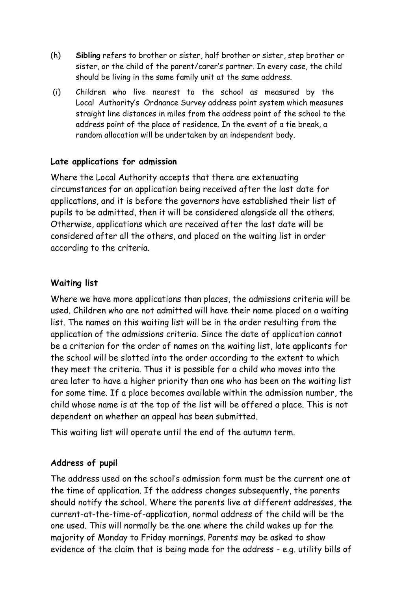- (h) **Sibling** refers to brother or sister, half brother or sister, step brother or sister, or the child of the parent/carer's partner. In every case, the child should be living in the same family unit at the same address.
- (i) Children who live nearest to the school as measured by the Local Authority's Ordnance Survey address point system which measures straight line distances in miles from the address point of the school to the address point of the place of residence. In the event of a tie break, a random allocation will be undertaken by an independent body.

#### **Late applications for admission**

Where the Local Authority accepts that there are extenuating circumstances for an application being received after the last date for applications, and it is before the governors have established their list of pupils to be admitted, then it will be considered alongside all the others. Otherwise, applications which are received after the last date will be considered after all the others, and placed on the waiting list in order according to the criteria.

#### **Waiting list**

Where we have more applications than places, the admissions criteria will be used. Children who are not admitted will have their name placed on a waiting list. The names on this waiting list will be in the order resulting from the application of the admissions criteria. Since the date of application cannot be a criterion for the order of names on the waiting list, late applicants for the school will be slotted into the order according to the extent to which they meet the criteria. Thus it is possible for a child who moves into the area later to have a higher priority than one who has been on the waiting list for some time. If a place becomes available within the admission number, the child whose name is at the top of the list will be offered a place. This is not dependent on whether an appeal has been submitted.

This waiting list will operate until the end of the autumn term.

#### **Address of pupil**

The address used on the school's admission form must be the current one at the time of application. If the address changes subsequently, the parents should notify the school. Where the parents live at different addresses, the current-at-the-time-of-application, normal address of the child will be the one used. This will normally be the one where the child wakes up for the majority of Monday to Friday mornings. Parents may be asked to show evidence of the claim that is being made for the address - e.g. utility bills of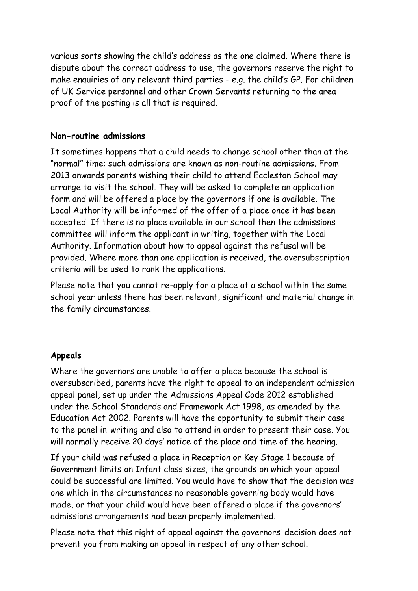various sorts showing the child's address as the one claimed. Where there is dispute about the correct address to use, the governors reserve the right to make enquiries of any relevant third parties - e.g. the child's GP. For children of UK Service personnel and other Crown Servants returning to the area proof of the posting is all that is required.

#### **Non-routine admissions**

It sometimes happens that a child needs to change school other than at the "normal" time; such admissions are known as non-routine admissions. From 2013 onwards parents wishing their child to attend Eccleston School may arrange to visit the school. They will be asked to complete an application form and will be offered a place by the governors if one is available. The Local Authority will be informed of the offer of a place once it has been accepted. If there is no place available in our school then the admissions committee will inform the applicant in writing, together with the Local Authority. Information about how to appeal against the refusal will be provided. Where more than one application is received, the oversubscription criteria will be used to rank the applications.

Please note that you cannot re-apply for a place at a school within the same school year unless there has been relevant, significant and material change in the family circumstances.

#### **Appeals**

Where the governors are unable to offer a place because the school is oversubscribed, parents have the right to appeal to an independent admission appeal panel, set up under the Admissions Appeal Code 2012 established under the School Standards and Framework Act 1998, as amended by the Education Act 2002. Parents will have the opportunity to submit their case to the panel in writing and also to attend in order to present their case. You will normally receive 20 days' notice of the place and time of the hearing.

If your child was refused a place in Reception or Key Stage 1 because of Government limits on Infant class sizes, the grounds on which your appeal could be successful are limited. You would have to show that the decision was one which in the circumstances no reasonable governing body would have made, or that your child would have been offered a place if the governors' admissions arrangements had been properly implemented.

Please note that this right of appeal against the governors' decision does not prevent you from making an appeal in respect of any other school.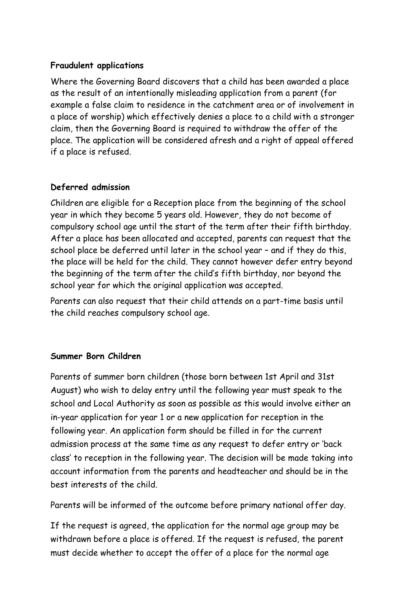#### **Fraudulent applications**

Where the Governing Board discovers that a child has been awarded a place as the result of an intentionally misleading application from a parent (for example a false claim to residence in the catchment area or of involvement in a place of worship) which effectively denies a place to a child with a stronger claim, then the Governing Board is required to withdraw the offer of the place. The application will be considered afresh and a right of appeal offered if a place is refused.

#### **Deferred admission**

Children are eligible for a Reception place from the beginning of the school year in which they become 5 years old. However, they do not become of compulsory school age until the start of the term after their fifth birthday. After a place has been allocated and accepted, parents can request that the school place be deferred until later in the school year – and if they do this, the place will be held for the child. They cannot however defer entry beyond the beginning of the term after the child's fifth birthday, nor beyond the school year for which the original application was accepted.

Parents can also request that their child attends on a part-time basis until the child reaches compulsory school age.

#### **Summer Born Children**

Parents of summer born children (those born between 1st April and 31st August) who wish to delay entry until the following year must speak to the school and Local Authority as soon as possible as this would involve either an in-year application for year 1 or a new application for reception in the following year. An application form should be filled in for the current admission process at the same time as any request to defer entry or 'back class' to reception in the following year. The decision will be made taking into account information from the parents and headteacher and should be in the best interests of the child.

Parents will be informed of the outcome before primary national offer day.

If the request is agreed, the application for the normal age group may be withdrawn before a place is offered. If the request is refused, the parent must decide whether to accept the offer of a place for the normal age